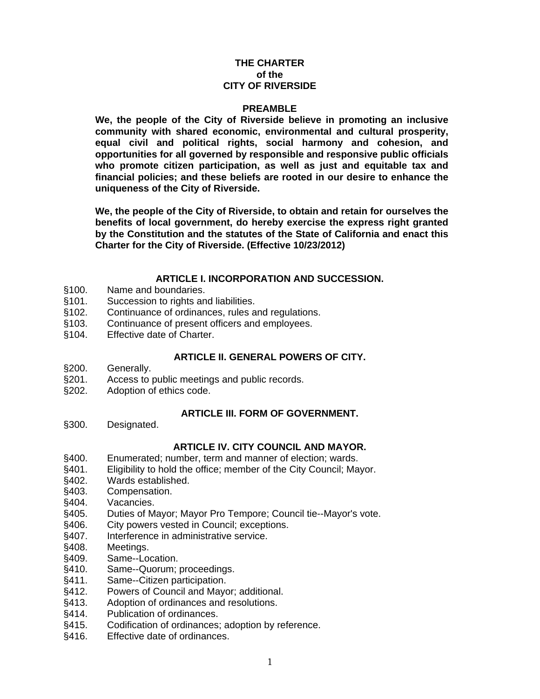# **THE CHARTER of the CITY OF RIVERSIDE**

### **PREAMBLE**

**We, the people of the City of Riverside believe in promoting an inclusive community with shared economic, environmental and cultural prosperity, equal civil and political rights, social harmony and cohesion, and opportunities for all governed by responsible and responsive public officials who promote citizen participation, as well as just and equitable tax and financial policies; and these beliefs are rooted in our desire to enhance the uniqueness of the City of Riverside.** 

**We, the people of the City of Riverside, to obtain and retain for ourselves the benefits of local government, do hereby exercise the express right granted by the Constitution and the statutes of the State of California and enact this Charter for the City of Riverside. (Effective 10/23/2012)** 

### **ARTICLE I. INCORPORATION AND SUCCESSION.**

- §100. Name and boundaries.
- §101. Succession to rights and liabilities.
- §102. Continuance of ordinances, rules and regulations.
- §103. Continuance of present officers and employees.
- §104. Effective date of Charter.

# **ARTICLE II. GENERAL POWERS OF CITY.**

- §200. Generally.
- §201. Access to public meetings and public records.
- §202. Adoption of ethics code.

# **ARTICLE III. FORM OF GOVERNMENT.**

§300. Designated.

# **ARTICLE IV. CITY COUNCIL AND MAYOR.**

- §400. Enumerated; number, term and manner of election; wards.
- §401. Eligibility to hold the office; member of the City Council; Mayor.
- §402. Wards established.
- §403. Compensation.
- §404. Vacancies.
- §405. Duties of Mayor; Mayor Pro Tempore; Council tie--Mayor's vote.
- §406. City powers vested in Council; exceptions.
- §407. Interference in administrative service.
- §408. Meetings.
- §409. Same--Location.
- §410. Same--Quorum; proceedings.
- §411. Same--Citizen participation.
- §412. Powers of Council and Mayor; additional.
- §413. Adoption of ordinances and resolutions.
- §414. Publication of ordinances.<br>§415. Codification of ordinances:
- Codification of ordinances; adoption by reference.
- §416. Effective date of ordinances.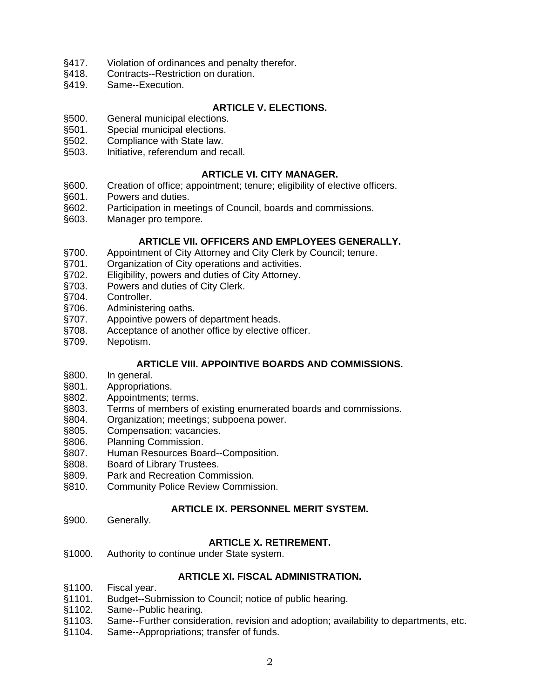- §417. Violation of ordinances and penalty therefor.
- §418. Contracts--Restriction on duration.
- §419. Same--Execution.

# **ARTICLE V. ELECTIONS.**

- §500. General municipal elections.
- §501. Special municipal elections.
- §502. Compliance with State law.
- §503. Initiative, referendum and recall.

# **ARTICLE VI. CITY MANAGER.**

- §600. Creation of office; appointment; tenure; eligibility of elective officers.
- §601. Powers and duties.
- §602. Participation in meetings of Council, boards and commissions.
- §603. Manager pro tempore.

# **ARTICLE VII. OFFICERS AND EMPLOYEES GENERALLY.**

- §700. Appointment of City Attorney and City Clerk by Council; tenure.
- §701. Organization of City operations and activities.<br>§702. Eligibility, powers and duties of City Attorney.
- Eligibility, powers and duties of City Attorney.
- §703. Powers and duties of City Clerk.
- §704. Controller.
- §706. Administering oaths.
- §707. Appointive powers of department heads.<br>§708. Acceptance of another office by elective
- Acceptance of another office by elective officer.
- §709. Nepotism.

# **ARTICLE VIII. APPOINTIVE BOARDS AND COMMISSIONS.**

- §800. In general.
- §801. Appropriations.
- §802. Appointments; terms.
- §803. Terms of members of existing enumerated boards and commissions.
- §804. Organization; meetings; subpoena power.
- §805. Compensation; vacancies.
- §806. Planning Commission.
- §807. Human Resources Board--Composition.
- §808. Board of Library Trustees.
- §809. Park and Recreation Commission.
- §810. Community Police Review Commission.

# **ARTICLE IX. PERSONNEL MERIT SYSTEM.**

§900. Generally.

### **ARTICLE X. RETIREMENT.**

§1000. Authority to continue under State system.

# **ARTICLE XI. FISCAL ADMINISTRATION.**

- §1100. Fiscal year.
- §1101. Budget--Submission to Council; notice of public hearing.<br>§1102. Same--Public hearing.
- Same--Public hearing.
- §1103. Same--Further consideration, revision and adoption; availability to departments, etc.
- §1104. Same--Appropriations; transfer of funds.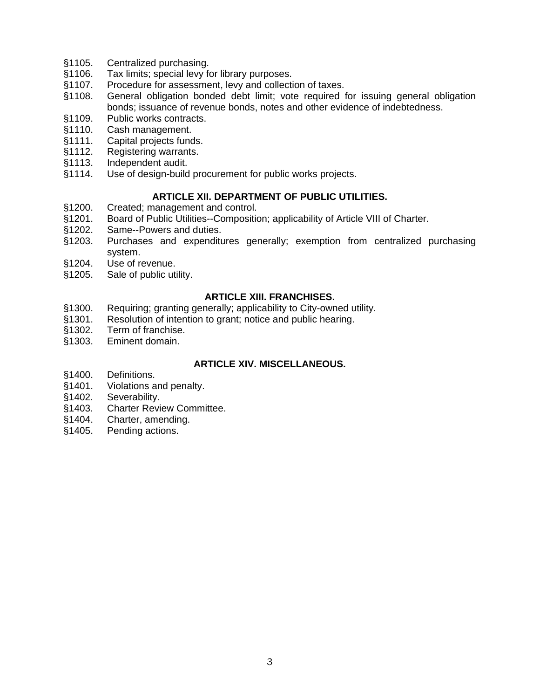- §1105. Centralized purchasing.
- §1106. Tax limits; special levy for library purposes.
- §1107. Procedure for assessment, levy and collection of taxes.
- §1108. General obligation bonded debt limit; vote required for issuing general obligation bonds; issuance of revenue bonds, notes and other evidence of indebtedness.
- §1109. Public works contracts.
- §1110. Cash management.
- §1111. Capital projects funds.
- §1112. Registering warrants.
- §1113. Independent audit.
- §1114. Use of design-build procurement for public works projects.

# **ARTICLE XII. DEPARTMENT OF PUBLIC UTILITIES.**

- §1200. Created; management and control.
- §1201. Board of Public Utilities--Composition; applicability of Article VIII of Charter.
- §1202. Same--Powers and duties.
- §1203. Purchases and expenditures generally; exemption from centralized purchasing system.
- §1204. Use of revenue.
- §1205. Sale of public utility.

# **ARTICLE XIII. FRANCHISES.**

- §1300. Requiring; granting generally; applicability to City-owned utility.
- §1301. Resolution of intention to grant; notice and public hearing.
- §1302. Term of franchise.
- §1303. Eminent domain.

# **ARTICLE XIV. MISCELLANEOUS.**

- §1400. Definitions.<br>§1401. Violations a
- Violations and penalty.
- §1402. Severability.
- §1403. Charter Review Committee.
- §1404. Charter, amending.
- §1405. Pending actions.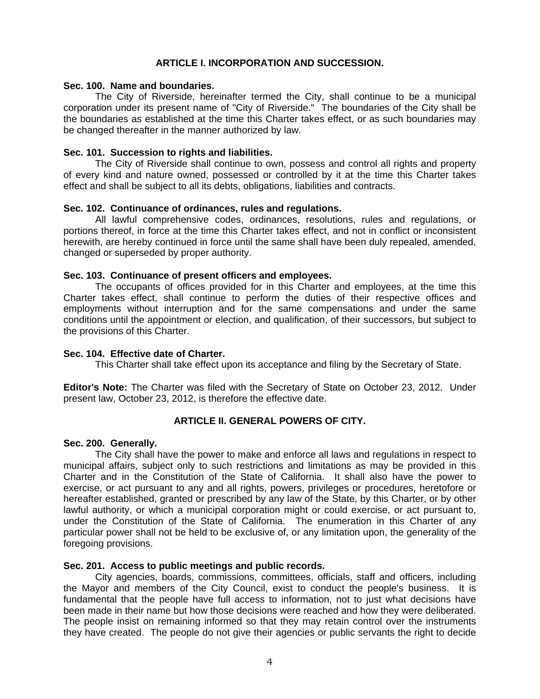# **ARTICLE I. INCORPORATION AND SUCCESSION.**

#### **Sec. 100. Name and boundaries.**

 The City of Riverside, hereinafter termed the City, shall continue to be a municipal corporation under its present name of "City of Riverside." The boundaries of the City shall be the boundaries as established at the time this Charter takes effect, or as such boundaries may be changed thereafter in the manner authorized by law.

### **Sec. 101. Succession to rights and liabilities.**

 The City of Riverside shall continue to own, possess and control all rights and property of every kind and nature owned, possessed or controlled by it at the time this Charter takes effect and shall be subject to all its debts, obligations, liabilities and contracts.

### **Sec. 102. Continuance of ordinances, rules and regulations.**

 All lawful comprehensive codes, ordinances, resolutions, rules and regulations, or portions thereof, in force at the time this Charter takes effect, and not in conflict or inconsistent herewith, are hereby continued in force until the same shall have been duly repealed, amended, changed or superseded by proper authority.

### **Sec. 103. Continuance of present officers and employees.**

 The occupants of offices provided for in this Charter and employees, at the time this Charter takes effect, shall continue to perform the duties of their respective offices and employments without interruption and for the same compensations and under the same conditions until the appointment or election, and qualification, of their successors, but subject to the provisions of this Charter.

### **Sec. 104. Effective date of Charter.**

This Charter shall take effect upon its acceptance and filing by the Secretary of State.

**Editor's Note:** The Charter was filed with the Secretary of State on October 23, 2012. Under present law, October 23, 2012, is therefore the effective date.

# **ARTICLE II. GENERAL POWERS OF CITY.**

### **Sec. 200. Generally.**

 The City shall have the power to make and enforce all laws and regulations in respect to municipal affairs, subject only to such restrictions and limitations as may be provided in this Charter and in the Constitution of the State of California. It shall also have the power to exercise, or act pursuant to any and all rights, powers, privileges or procedures, heretofore or hereafter established, granted or prescribed by any law of the State, by this Charter, or by other lawful authority, or which a municipal corporation might or could exercise, or act pursuant to, under the Constitution of the State of California. The enumeration in this Charter of any particular power shall not be held to be exclusive of, or any limitation upon, the generality of the foregoing provisions.

### **Sec. 201. Access to public meetings and public records.**

 City agencies, boards, commissions, committees, officials, staff and officers, including the Mayor and members of the City Council, exist to conduct the people's business. It is fundamental that the people have full access to information, not to just what decisions have been made in their name but how those decisions were reached and how they were deliberated. The people insist on remaining informed so that they may retain control over the instruments they have created. The people do not give their agencies or public servants the right to decide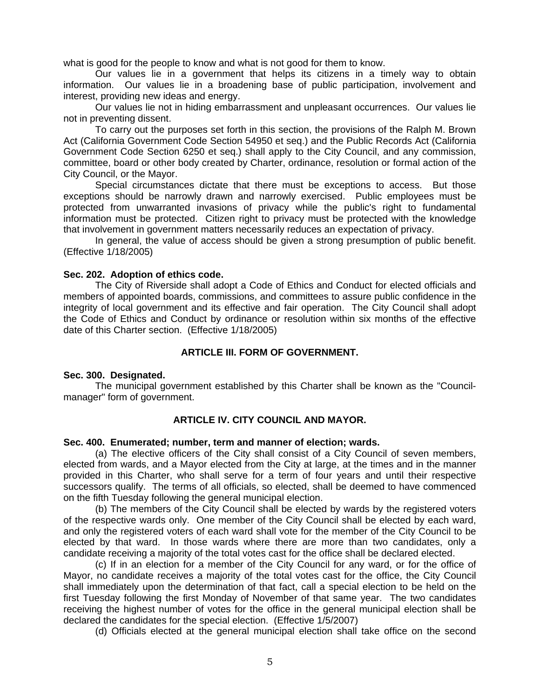what is good for the people to know and what is not good for them to know.

 Our values lie in a government that helps its citizens in a timely way to obtain information. Our values lie in a broadening base of public participation, involvement and interest, providing new ideas and energy.

Our values lie not in hiding embarrassment and unpleasant occurrences. Our values lie not in preventing dissent.

To carry out the purposes set forth in this section, the provisions of the Ralph M. Brown Act (California Government Code Section 54950 et seq.) and the Public Records Act (California Government Code Section 6250 et seq.) shall apply to the City Council, and any commission, committee, board or other body created by Charter, ordinance, resolution or formal action of the City Council, or the Mayor.

 Special circumstances dictate that there must be exceptions to access. But those exceptions should be narrowly drawn and narrowly exercised. Public employees must be protected from unwarranted invasions of privacy while the public's right to fundamental information must be protected. Citizen right to privacy must be protected with the knowledge that involvement in government matters necessarily reduces an expectation of privacy.

 In general, the value of access should be given a strong presumption of public benefit. (Effective 1/18/2005)

### **Sec. 202. Adoption of ethics code.**

 The City of Riverside shall adopt a Code of Ethics and Conduct for elected officials and members of appointed boards, commissions, and committees to assure public confidence in the integrity of local government and its effective and fair operation. The City Council shall adopt the Code of Ethics and Conduct by ordinance or resolution within six months of the effective date of this Charter section. (Effective 1/18/2005)

#### **ARTICLE III. FORM OF GOVERNMENT.**

#### **Sec. 300. Designated.**

 The municipal government established by this Charter shall be known as the "Councilmanager" form of government.

### **ARTICLE IV. CITY COUNCIL AND MAYOR.**

#### **Sec. 400. Enumerated; number, term and manner of election; wards.**

 (a) The elective officers of the City shall consist of a City Council of seven members, elected from wards, and a Mayor elected from the City at large, at the times and in the manner provided in this Charter, who shall serve for a term of four years and until their respective successors qualify. The terms of all officials, so elected, shall be deemed to have commenced on the fifth Tuesday following the general municipal election.

 (b) The members of the City Council shall be elected by wards by the registered voters of the respective wards only. One member of the City Council shall be elected by each ward, and only the registered voters of each ward shall vote for the member of the City Council to be elected by that ward. In those wards where there are more than two candidates, only a candidate receiving a majority of the total votes cast for the office shall be declared elected.

 (c) If in an election for a member of the City Council for any ward, or for the office of Mayor, no candidate receives a majority of the total votes cast for the office, the City Council shall immediately upon the determination of that fact, call a special election to be held on the first Tuesday following the first Monday of November of that same year. The two candidates receiving the highest number of votes for the office in the general municipal election shall be declared the candidates for the special election. (Effective 1/5/2007)

(d) Officials elected at the general municipal election shall take office on the second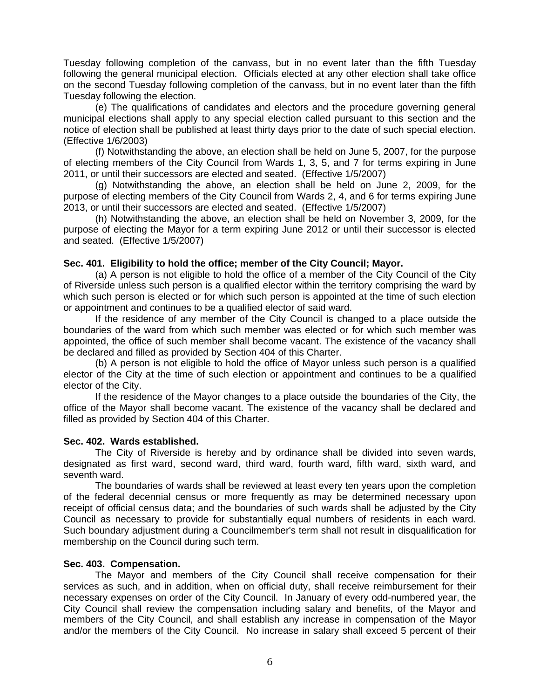Tuesday following completion of the canvass, but in no event later than the fifth Tuesday following the general municipal election. Officials elected at any other election shall take office on the second Tuesday following completion of the canvass, but in no event later than the fifth Tuesday following the election.

 (e) The qualifications of candidates and electors and the procedure governing general municipal elections shall apply to any special election called pursuant to this section and the notice of election shall be published at least thirty days prior to the date of such special election. (Effective 1/6/2003)

(f) Notwithstanding the above, an election shall be held on June 5, 2007, for the purpose of electing members of the City Council from Wards 1, 3, 5, and 7 for terms expiring in June 2011, or until their successors are elected and seated. (Effective 1/5/2007)

(g) Notwithstanding the above, an election shall be held on June 2, 2009, for the purpose of electing members of the City Council from Wards 2, 4, and 6 for terms expiring June 2013, or until their successors are elected and seated. (Effective 1/5/2007)

(h) Notwithstanding the above, an election shall be held on November 3, 2009, for the purpose of electing the Mayor for a term expiring June 2012 or until their successor is elected and seated. (Effective 1/5/2007)

### **Sec. 401. Eligibility to hold the office; member of the City Council; Mayor.**

 (a) A person is not eligible to hold the office of a member of the City Council of the City of Riverside unless such person is a qualified elector within the territory comprising the ward by which such person is elected or for which such person is appointed at the time of such election or appointment and continues to be a qualified elector of said ward.

 If the residence of any member of the City Council is changed to a place outside the boundaries of the ward from which such member was elected or for which such member was appointed, the office of such member shall become vacant. The existence of the vacancy shall be declared and filled as provided by Section 404 of this Charter.

 (b) A person is not eligible to hold the office of Mayor unless such person is a qualified elector of the City at the time of such election or appointment and continues to be a qualified elector of the City.

 If the residence of the Mayor changes to a place outside the boundaries of the City, the office of the Mayor shall become vacant. The existence of the vacancy shall be declared and filled as provided by Section 404 of this Charter.

#### **Sec. 402. Wards established.**

 The City of Riverside is hereby and by ordinance shall be divided into seven wards, designated as first ward, second ward, third ward, fourth ward, fifth ward, sixth ward, and seventh ward.

 The boundaries of wards shall be reviewed at least every ten years upon the completion of the federal decennial census or more frequently as may be determined necessary upon receipt of official census data; and the boundaries of such wards shall be adjusted by the City Council as necessary to provide for substantially equal numbers of residents in each ward. Such boundary adjustment during a Councilmember's term shall not result in disqualification for membership on the Council during such term.

### **Sec. 403. Compensation.**

 The Mayor and members of the City Council shall receive compensation for their services as such, and in addition, when on official duty, shall receive reimbursement for their necessary expenses on order of the City Council. In January of every odd-numbered year, the City Council shall review the compensation including salary and benefits, of the Mayor and members of the City Council, and shall establish any increase in compensation of the Mayor and/or the members of the City Council. No increase in salary shall exceed 5 percent of their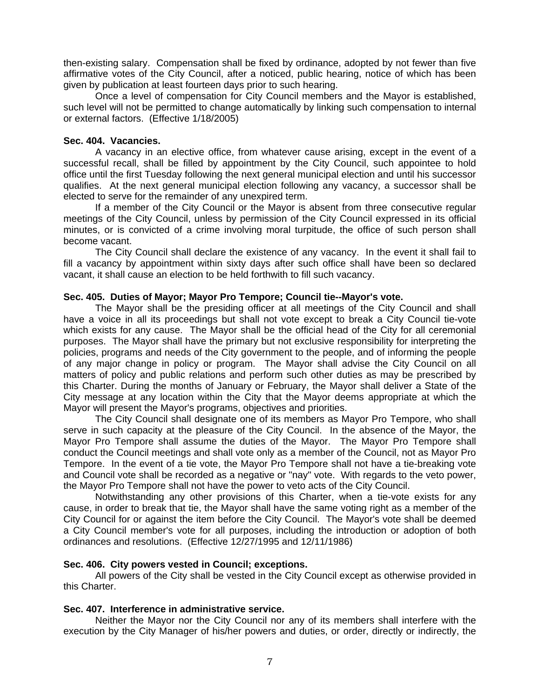then-existing salary. Compensation shall be fixed by ordinance, adopted by not fewer than five affirmative votes of the City Council, after a noticed, public hearing, notice of which has been given by publication at least fourteen days prior to such hearing.

 Once a level of compensation for City Council members and the Mayor is established, such level will not be permitted to change automatically by linking such compensation to internal or external factors. (Effective 1/18/2005)

#### **Sec. 404. Vacancies.**

 A vacancy in an elective office, from whatever cause arising, except in the event of a successful recall, shall be filled by appointment by the City Council, such appointee to hold office until the first Tuesday following the next general municipal election and until his successor qualifies. At the next general municipal election following any vacancy, a successor shall be elected to serve for the remainder of any unexpired term.

 If a member of the City Council or the Mayor is absent from three consecutive regular meetings of the City Council, unless by permission of the City Council expressed in its official minutes, or is convicted of a crime involving moral turpitude, the office of such person shall become vacant.

 The City Council shall declare the existence of any vacancy. In the event it shall fail to fill a vacancy by appointment within sixty days after such office shall have been so declared vacant, it shall cause an election to be held forthwith to fill such vacancy.

### **Sec. 405. Duties of Mayor; Mayor Pro Tempore; Council tie--Mayor's vote.**

 The Mayor shall be the presiding officer at all meetings of the City Council and shall have a voice in all its proceedings but shall not vote except to break a City Council tie-vote which exists for any cause. The Mayor shall be the official head of the City for all ceremonial purposes. The Mayor shall have the primary but not exclusive responsibility for interpreting the policies, programs and needs of the City government to the people, and of informing the people of any major change in policy or program. The Mayor shall advise the City Council on all matters of policy and public relations and perform such other duties as may be prescribed by this Charter. During the months of January or February, the Mayor shall deliver a State of the City message at any location within the City that the Mayor deems appropriate at which the Mayor will present the Mayor's programs, objectives and priorities.

 The City Council shall designate one of its members as Mayor Pro Tempore, who shall serve in such capacity at the pleasure of the City Council. In the absence of the Mayor, the Mayor Pro Tempore shall assume the duties of the Mayor. The Mayor Pro Tempore shall conduct the Council meetings and shall vote only as a member of the Council, not as Mayor Pro Tempore. In the event of a tie vote, the Mayor Pro Tempore shall not have a tie-breaking vote and Council vote shall be recorded as a negative or "nay" vote. With regards to the veto power, the Mayor Pro Tempore shall not have the power to veto acts of the City Council.

 Notwithstanding any other provisions of this Charter, when a tie-vote exists for any cause, in order to break that tie, the Mayor shall have the same voting right as a member of the City Council for or against the item before the City Council. The Mayor's vote shall be deemed a City Council member's vote for all purposes, including the introduction or adoption of both ordinances and resolutions. (Effective 12/27/1995 and 12/11/1986)

### **Sec. 406. City powers vested in Council; exceptions.**

 All powers of the City shall be vested in the City Council except as otherwise provided in this Charter.

### **Sec. 407. Interference in administrative service.**

 Neither the Mayor nor the City Council nor any of its members shall interfere with the execution by the City Manager of his/her powers and duties, or order, directly or indirectly, the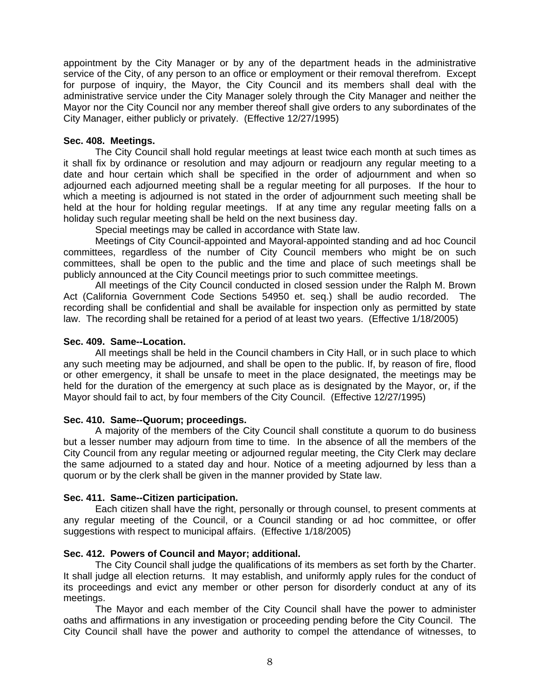appointment by the City Manager or by any of the department heads in the administrative service of the City, of any person to an office or employment or their removal therefrom. Except for purpose of inquiry, the Mayor, the City Council and its members shall deal with the administrative service under the City Manager solely through the City Manager and neither the Mayor nor the City Council nor any member thereof shall give orders to any subordinates of the City Manager, either publicly or privately. (Effective 12/27/1995)

# **Sec. 408. Meetings.**

 The City Council shall hold regular meetings at least twice each month at such times as it shall fix by ordinance or resolution and may adjourn or readjourn any regular meeting to a date and hour certain which shall be specified in the order of adjournment and when so adjourned each adjourned meeting shall be a regular meeting for all purposes. If the hour to which a meeting is adjourned is not stated in the order of adjournment such meeting shall be held at the hour for holding regular meetings. If at any time any regular meeting falls on a holiday such regular meeting shall be held on the next business day.

Special meetings may be called in accordance with State law.

 Meetings of City Council-appointed and Mayoral-appointed standing and ad hoc Council committees, regardless of the number of City Council members who might be on such committees, shall be open to the public and the time and place of such meetings shall be publicly announced at the City Council meetings prior to such committee meetings.

 All meetings of the City Council conducted in closed session under the Ralph M. Brown Act (California Government Code Sections 54950 et. seq.) shall be audio recorded. The recording shall be confidential and shall be available for inspection only as permitted by state law. The recording shall be retained for a period of at least two years. (Effective 1/18/2005)

# **Sec. 409. Same--Location.**

 All meetings shall be held in the Council chambers in City Hall, or in such place to which any such meeting may be adjourned, and shall be open to the public. If, by reason of fire, flood or other emergency, it shall be unsafe to meet in the place designated, the meetings may be held for the duration of the emergency at such place as is designated by the Mayor, or, if the Mayor should fail to act, by four members of the City Council. (Effective 12/27/1995)

### **Sec. 410. Same--Quorum; proceedings.**

 A majority of the members of the City Council shall constitute a quorum to do business but a lesser number may adjourn from time to time. In the absence of all the members of the City Council from any regular meeting or adjourned regular meeting, the City Clerk may declare the same adjourned to a stated day and hour. Notice of a meeting adjourned by less than a quorum or by the clerk shall be given in the manner provided by State law.

# **Sec. 411. Same--Citizen participation.**

 Each citizen shall have the right, personally or through counsel, to present comments at any regular meeting of the Council, or a Council standing or ad hoc committee, or offer suggestions with respect to municipal affairs. (Effective 1/18/2005)

# **Sec. 412. Powers of Council and Mayor; additional.**

 The City Council shall judge the qualifications of its members as set forth by the Charter. It shall judge all election returns. It may establish, and uniformly apply rules for the conduct of its proceedings and evict any member or other person for disorderly conduct at any of its meetings.

 The Mayor and each member of the City Council shall have the power to administer oaths and affirmations in any investigation or proceeding pending before the City Council. The City Council shall have the power and authority to compel the attendance of witnesses, to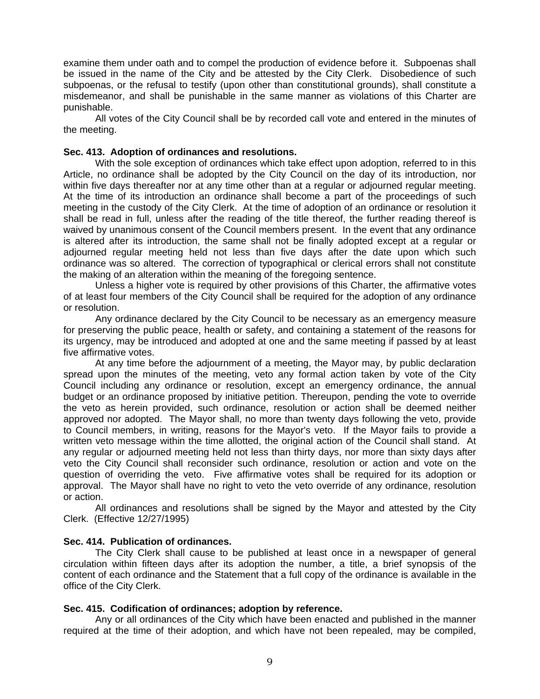examine them under oath and to compel the production of evidence before it. Subpoenas shall be issued in the name of the City and be attested by the City Clerk. Disobedience of such subpoenas, or the refusal to testify (upon other than constitutional grounds), shall constitute a misdemeanor, and shall be punishable in the same manner as violations of this Charter are punishable.

 All votes of the City Council shall be by recorded call vote and entered in the minutes of the meeting.

### **Sec. 413. Adoption of ordinances and resolutions.**

 With the sole exception of ordinances which take effect upon adoption, referred to in this Article, no ordinance shall be adopted by the City Council on the day of its introduction, nor within five days thereafter nor at any time other than at a regular or adjourned regular meeting. At the time of its introduction an ordinance shall become a part of the proceedings of such meeting in the custody of the City Clerk. At the time of adoption of an ordinance or resolution it shall be read in full, unless after the reading of the title thereof, the further reading thereof is waived by unanimous consent of the Council members present. In the event that any ordinance is altered after its introduction, the same shall not be finally adopted except at a regular or adjourned regular meeting held not less than five days after the date upon which such ordinance was so altered. The correction of typographical or clerical errors shall not constitute the making of an alteration within the meaning of the foregoing sentence.

 Unless a higher vote is required by other provisions of this Charter, the affirmative votes of at least four members of the City Council shall be required for the adoption of any ordinance or resolution.

 Any ordinance declared by the City Council to be necessary as an emergency measure for preserving the public peace, health or safety, and containing a statement of the reasons for its urgency, may be introduced and adopted at one and the same meeting if passed by at least five affirmative votes.

 At any time before the adjournment of a meeting, the Mayor may, by public declaration spread upon the minutes of the meeting, veto any formal action taken by vote of the City Council including any ordinance or resolution, except an emergency ordinance, the annual budget or an ordinance proposed by initiative petition. Thereupon, pending the vote to override the veto as herein provided, such ordinance, resolution or action shall be deemed neither approved nor adopted. The Mayor shall, no more than twenty days following the veto, provide to Council members, in writing, reasons for the Mayor's veto. If the Mayor fails to provide a written veto message within the time allotted, the original action of the Council shall stand. At any regular or adjourned meeting held not less than thirty days, nor more than sixty days after veto the City Council shall reconsider such ordinance, resolution or action and vote on the question of overriding the veto. Five affirmative votes shall be required for its adoption or approval. The Mayor shall have no right to veto the veto override of any ordinance, resolution or action.

 All ordinances and resolutions shall be signed by the Mayor and attested by the City Clerk. (Effective 12/27/1995)

### **Sec. 414. Publication of ordinances.**

 The City Clerk shall cause to be published at least once in a newspaper of general circulation within fifteen days after its adoption the number, a title, a brief synopsis of the content of each ordinance and the Statement that a full copy of the ordinance is available in the office of the City Clerk.

### **Sec. 415. Codification of ordinances; adoption by reference.**

 Any or all ordinances of the City which have been enacted and published in the manner required at the time of their adoption, and which have not been repealed, may be compiled,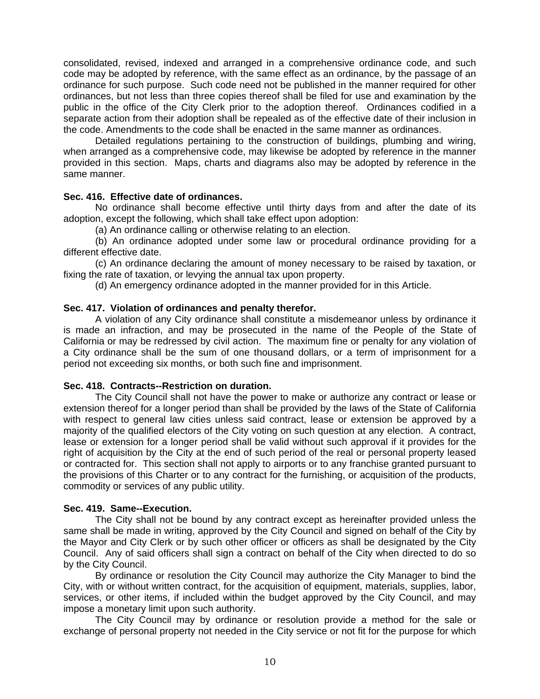consolidated, revised, indexed and arranged in a comprehensive ordinance code, and such code may be adopted by reference, with the same effect as an ordinance, by the passage of an ordinance for such purpose. Such code need not be published in the manner required for other ordinances, but not less than three copies thereof shall be filed for use and examination by the public in the office of the City Clerk prior to the adoption thereof. Ordinances codified in a separate action from their adoption shall be repealed as of the effective date of their inclusion in the code. Amendments to the code shall be enacted in the same manner as ordinances.

 Detailed regulations pertaining to the construction of buildings, plumbing and wiring, when arranged as a comprehensive code, may likewise be adopted by reference in the manner provided in this section. Maps, charts and diagrams also may be adopted by reference in the same manner.

# **Sec. 416. Effective date of ordinances.**

 No ordinance shall become effective until thirty days from and after the date of its adoption, except the following, which shall take effect upon adoption:

(a) An ordinance calling or otherwise relating to an election.

 (b) An ordinance adopted under some law or procedural ordinance providing for a different effective date.

 (c) An ordinance declaring the amount of money necessary to be raised by taxation, or fixing the rate of taxation, or levying the annual tax upon property.

(d) An emergency ordinance adopted in the manner provided for in this Article.

### **Sec. 417. Violation of ordinances and penalty therefor.**

 A violation of any City ordinance shall constitute a misdemeanor unless by ordinance it is made an infraction, and may be prosecuted in the name of the People of the State of California or may be redressed by civil action. The maximum fine or penalty for any violation of a City ordinance shall be the sum of one thousand dollars, or a term of imprisonment for a period not exceeding six months, or both such fine and imprisonment.

### **Sec. 418. Contracts--Restriction on duration.**

 The City Council shall not have the power to make or authorize any contract or lease or extension thereof for a longer period than shall be provided by the laws of the State of California with respect to general law cities unless said contract, lease or extension be approved by a majority of the qualified electors of the City voting on such question at any election. A contract, lease or extension for a longer period shall be valid without such approval if it provides for the right of acquisition by the City at the end of such period of the real or personal property leased or contracted for. This section shall not apply to airports or to any franchise granted pursuant to the provisions of this Charter or to any contract for the furnishing, or acquisition of the products, commodity or services of any public utility.

### **Sec. 419. Same--Execution.**

 The City shall not be bound by any contract except as hereinafter provided unless the same shall be made in writing, approved by the City Council and signed on behalf of the City by the Mayor and City Clerk or by such other officer or officers as shall be designated by the City Council. Any of said officers shall sign a contract on behalf of the City when directed to do so by the City Council.

 By ordinance or resolution the City Council may authorize the City Manager to bind the City, with or without written contract, for the acquisition of equipment, materials, supplies, labor, services, or other items, if included within the budget approved by the City Council, and may impose a monetary limit upon such authority.

 The City Council may by ordinance or resolution provide a method for the sale or exchange of personal property not needed in the City service or not fit for the purpose for which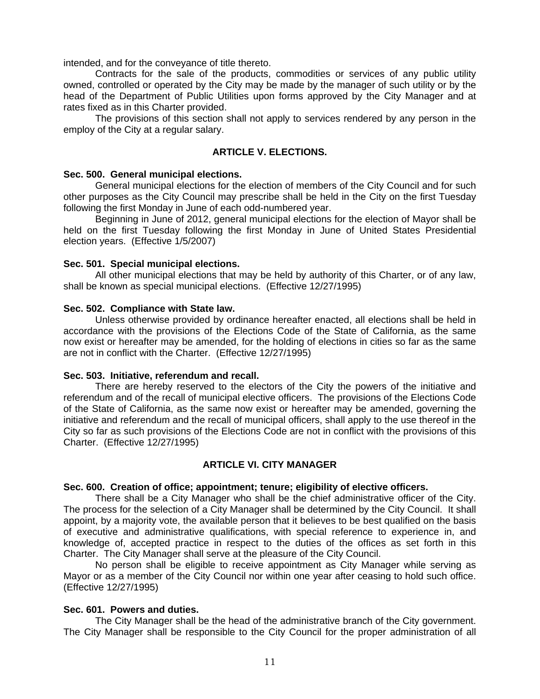intended, and for the conveyance of title thereto.

 Contracts for the sale of the products, commodities or services of any public utility owned, controlled or operated by the City may be made by the manager of such utility or by the head of the Department of Public Utilities upon forms approved by the City Manager and at rates fixed as in this Charter provided.

 The provisions of this section shall not apply to services rendered by any person in the employ of the City at a regular salary.

# **ARTICLE V. ELECTIONS.**

#### **Sec. 500. General municipal elections.**

 General municipal elections for the election of members of the City Council and for such other purposes as the City Council may prescribe shall be held in the City on the first Tuesday following the first Monday in June of each odd-numbered year.

Beginning in June of 2012, general municipal elections for the election of Mayor shall be held on the first Tuesday following the first Monday in June of United States Presidential election years. (Effective 1/5/2007)

#### **Sec. 501. Special municipal elections.**

 All other municipal elections that may be held by authority of this Charter, or of any law, shall be known as special municipal elections. (Effective 12/27/1995)

### **Sec. 502. Compliance with State law.**

 Unless otherwise provided by ordinance hereafter enacted, all elections shall be held in accordance with the provisions of the Elections Code of the State of California, as the same now exist or hereafter may be amended, for the holding of elections in cities so far as the same are not in conflict with the Charter. (Effective 12/27/1995)

#### **Sec. 503. Initiative, referendum and recall.**

 There are hereby reserved to the electors of the City the powers of the initiative and referendum and of the recall of municipal elective officers. The provisions of the Elections Code of the State of California, as the same now exist or hereafter may be amended, governing the initiative and referendum and the recall of municipal officers, shall apply to the use thereof in the City so far as such provisions of the Elections Code are not in conflict with the provisions of this Charter. (Effective 12/27/1995)

### **ARTICLE VI. CITY MANAGER**

### **Sec. 600. Creation of office; appointment; tenure; eligibility of elective officers.**

 There shall be a City Manager who shall be the chief administrative officer of the City. The process for the selection of a City Manager shall be determined by the City Council. It shall appoint, by a majority vote, the available person that it believes to be best qualified on the basis of executive and administrative qualifications, with special reference to experience in, and knowledge of, accepted practice in respect to the duties of the offices as set forth in this Charter. The City Manager shall serve at the pleasure of the City Council.

 No person shall be eligible to receive appointment as City Manager while serving as Mayor or as a member of the City Council nor within one year after ceasing to hold such office. (Effective 12/27/1995)

### **Sec. 601. Powers and duties.**

 The City Manager shall be the head of the administrative branch of the City government. The City Manager shall be responsible to the City Council for the proper administration of all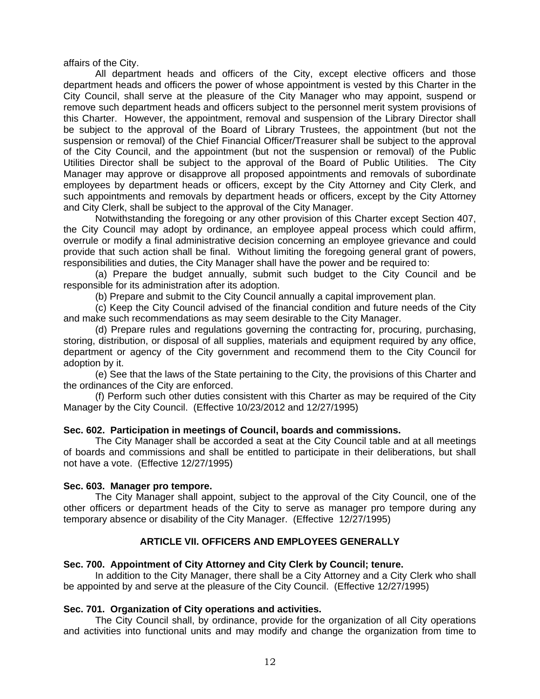affairs of the City.

 All department heads and officers of the City, except elective officers and those department heads and officers the power of whose appointment is vested by this Charter in the City Council, shall serve at the pleasure of the City Manager who may appoint, suspend or remove such department heads and officers subject to the personnel merit system provisions of this Charter. However, the appointment, removal and suspension of the Library Director shall be subject to the approval of the Board of Library Trustees, the appointment (but not the suspension or removal) of the Chief Financial Officer/Treasurer shall be subject to the approval of the City Council, and the appointment (but not the suspension or removal) of the Public Utilities Director shall be subject to the approval of the Board of Public Utilities. The City Manager may approve or disapprove all proposed appointments and removals of subordinate employees by department heads or officers, except by the City Attorney and City Clerk, and such appointments and removals by department heads or officers, except by the City Attorney and City Clerk, shall be subject to the approval of the City Manager.

 Notwithstanding the foregoing or any other provision of this Charter except Section 407, the City Council may adopt by ordinance, an employee appeal process which could affirm, overrule or modify a final administrative decision concerning an employee grievance and could provide that such action shall be final. Without limiting the foregoing general grant of powers, responsibilities and duties, the City Manager shall have the power and be required to:

 (a) Prepare the budget annually, submit such budget to the City Council and be responsible for its administration after its adoption.

(b) Prepare and submit to the City Council annually a capital improvement plan.

(c) Keep the City Council advised of the financial condition and future needs of the City and make such recommendations as may seem desirable to the City Manager.

 (d) Prepare rules and regulations governing the contracting for, procuring, purchasing, storing, distribution, or disposal of all supplies, materials and equipment required by any office, department or agency of the City government and recommend them to the City Council for adoption by it.

 (e) See that the laws of the State pertaining to the City, the provisions of this Charter and the ordinances of the City are enforced.

 (f) Perform such other duties consistent with this Charter as may be required of the City Manager by the City Council. (Effective 10/23/2012 and 12/27/1995)

### **Sec. 602. Participation in meetings of Council, boards and commissions.**

 The City Manager shall be accorded a seat at the City Council table and at all meetings of boards and commissions and shall be entitled to participate in their deliberations, but shall not have a vote. (Effective 12/27/1995)

### **Sec. 603. Manager pro tempore.**

 The City Manager shall appoint, subject to the approval of the City Council, one of the other officers or department heads of the City to serve as manager pro tempore during any temporary absence or disability of the City Manager. (Effective 12/27/1995)

# **ARTICLE VII. OFFICERS AND EMPLOYEES GENERALLY**

### **Sec. 700. Appointment of City Attorney and City Clerk by Council; tenure.**

 In addition to the City Manager, there shall be a City Attorney and a City Clerk who shall be appointed by and serve at the pleasure of the City Council. (Effective 12/27/1995)

### **Sec. 701. Organization of City operations and activities.**

 The City Council shall, by ordinance, provide for the organization of all City operations and activities into functional units and may modify and change the organization from time to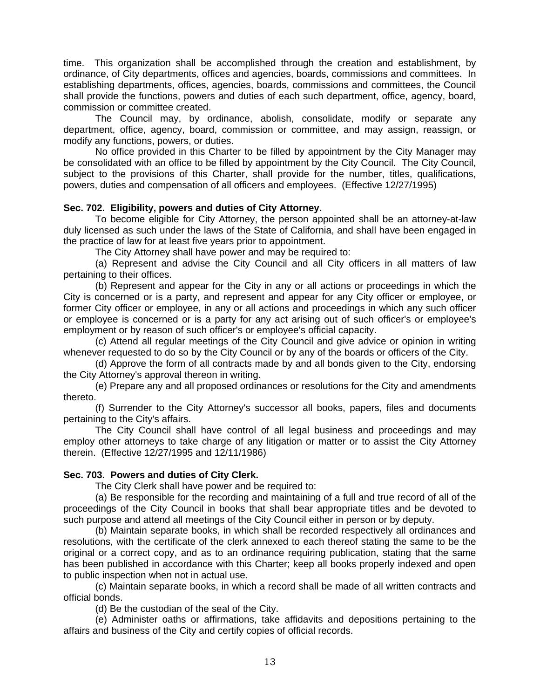time. This organization shall be accomplished through the creation and establishment, by ordinance, of City departments, offices and agencies, boards, commissions and committees. In establishing departments, offices, agencies, boards, commissions and committees, the Council shall provide the functions, powers and duties of each such department, office, agency, board, commission or committee created.

 The Council may, by ordinance, abolish, consolidate, modify or separate any department, office, agency, board, commission or committee, and may assign, reassign, or modify any functions, powers, or duties.

 No office provided in this Charter to be filled by appointment by the City Manager may be consolidated with an office to be filled by appointment by the City Council. The City Council, subject to the provisions of this Charter, shall provide for the number, titles, qualifications, powers, duties and compensation of all officers and employees. (Effective 12/27/1995)

# **Sec. 702. Eligibility, powers and duties of City Attorney.**

 To become eligible for City Attorney, the person appointed shall be an attorney-at-law duly licensed as such under the laws of the State of California, and shall have been engaged in the practice of law for at least five years prior to appointment.

The City Attorney shall have power and may be required to:

 (a) Represent and advise the City Council and all City officers in all matters of law pertaining to their offices.

 (b) Represent and appear for the City in any or all actions or proceedings in which the City is concerned or is a party, and represent and appear for any City officer or employee, or former City officer or employee, in any or all actions and proceedings in which any such officer or employee is concerned or is a party for any act arising out of such officer's or employee's employment or by reason of such officer's or employee's official capacity.

 (c) Attend all regular meetings of the City Council and give advice or opinion in writing whenever requested to do so by the City Council or by any of the boards or officers of the City.

 (d) Approve the form of all contracts made by and all bonds given to the City, endorsing the City Attorney's approval thereon in writing.

 (e) Prepare any and all proposed ordinances or resolutions for the City and amendments thereto.

 (f) Surrender to the City Attorney's successor all books, papers, files and documents pertaining to the City's affairs.

 The City Council shall have control of all legal business and proceedings and may employ other attorneys to take charge of any litigation or matter or to assist the City Attorney therein. (Effective 12/27/1995 and 12/11/1986)

### **Sec. 703. Powers and duties of City Clerk.**

The City Clerk shall have power and be required to:

 (a) Be responsible for the recording and maintaining of a full and true record of all of the proceedings of the City Council in books that shall bear appropriate titles and be devoted to such purpose and attend all meetings of the City Council either in person or by deputy.

 (b) Maintain separate books, in which shall be recorded respectively all ordinances and resolutions, with the certificate of the clerk annexed to each thereof stating the same to be the original or a correct copy, and as to an ordinance requiring publication, stating that the same has been published in accordance with this Charter; keep all books properly indexed and open to public inspection when not in actual use.

 (c) Maintain separate books, in which a record shall be made of all written contracts and official bonds.

(d) Be the custodian of the seal of the City.

 (e) Administer oaths or affirmations, take affidavits and depositions pertaining to the affairs and business of the City and certify copies of official records.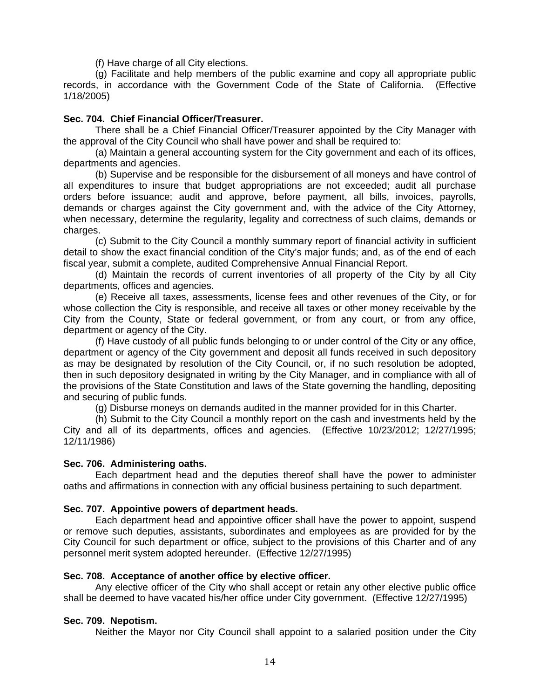(f) Have charge of all City elections.

 (g) Facilitate and help members of the public examine and copy all appropriate public records, in accordance with the Government Code of the State of California. (Effective 1/18/2005)

### **Sec. 704. Chief Financial Officer/Treasurer.**

 There shall be a Chief Financial Officer/Treasurer appointed by the City Manager with the approval of the City Council who shall have power and shall be required to:

 (a) Maintain a general accounting system for the City government and each of its offices, departments and agencies.

 (b) Supervise and be responsible for the disbursement of all moneys and have control of all expenditures to insure that budget appropriations are not exceeded; audit all purchase orders before issuance; audit and approve, before payment, all bills, invoices, payrolls, demands or charges against the City government and, with the advice of the City Attorney, when necessary, determine the regularity, legality and correctness of such claims, demands or charges.

 (c) Submit to the City Council a monthly summary report of financial activity in sufficient detail to show the exact financial condition of the City's major funds; and, as of the end of each fiscal year, submit a complete, audited Comprehensive Annual Financial Report.

 (d) Maintain the records of current inventories of all property of the City by all City departments, offices and agencies.

 (e) Receive all taxes, assessments, license fees and other revenues of the City, or for whose collection the City is responsible, and receive all taxes or other money receivable by the City from the County, State or federal government, or from any court, or from any office, department or agency of the City.

 (f) Have custody of all public funds belonging to or under control of the City or any office, department or agency of the City government and deposit all funds received in such depository as may be designated by resolution of the City Council, or, if no such resolution be adopted, then in such depository designated in writing by the City Manager, and in compliance with all of the provisions of the State Constitution and laws of the State governing the handling, depositing and securing of public funds.

(g) Disburse moneys on demands audited in the manner provided for in this Charter.

 (h) Submit to the City Council a monthly report on the cash and investments held by the City and all of its departments, offices and agencies. (Effective 10/23/2012; 12/27/1995; 12/11/1986)

### **Sec. 706. Administering oaths.**

 Each department head and the deputies thereof shall have the power to administer oaths and affirmations in connection with any official business pertaining to such department.

# **Sec. 707. Appointive powers of department heads.**

 Each department head and appointive officer shall have the power to appoint, suspend or remove such deputies, assistants, subordinates and employees as are provided for by the City Council for such department or office, subject to the provisions of this Charter and of any personnel merit system adopted hereunder. (Effective 12/27/1995)

### **Sec. 708. Acceptance of another office by elective officer.**

 Any elective officer of the City who shall accept or retain any other elective public office shall be deemed to have vacated his/her office under City government. (Effective 12/27/1995)

### **Sec. 709. Nepotism.**

Neither the Mayor nor City Council shall appoint to a salaried position under the City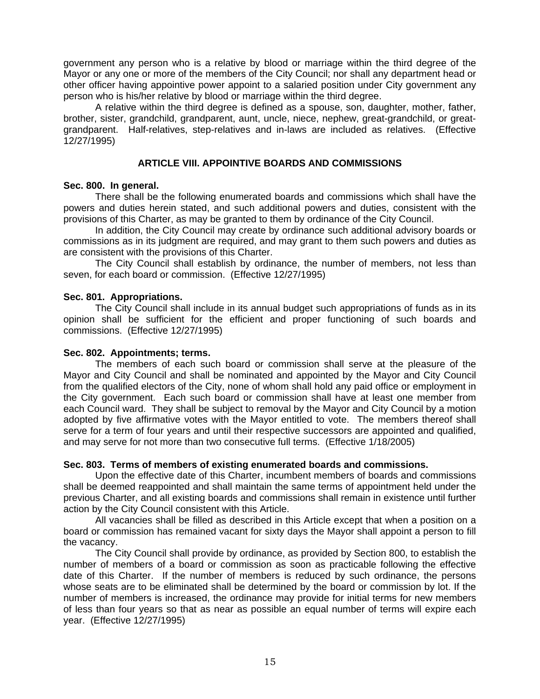government any person who is a relative by blood or marriage within the third degree of the Mayor or any one or more of the members of the City Council; nor shall any department head or other officer having appointive power appoint to a salaried position under City government any person who is his/her relative by blood or marriage within the third degree.

 A relative within the third degree is defined as a spouse, son, daughter, mother, father, brother, sister, grandchild, grandparent, aunt, uncle, niece, nephew, great-grandchild, or greatgrandparent. Half-relatives, step-relatives and in-laws are included as relatives. (Effective 12/27/1995)

# **ARTICLE VIII. APPOINTIVE BOARDS AND COMMISSIONS**

### **Sec. 800. In general.**

 There shall be the following enumerated boards and commissions which shall have the powers and duties herein stated, and such additional powers and duties, consistent with the provisions of this Charter, as may be granted to them by ordinance of the City Council.

 In addition, the City Council may create by ordinance such additional advisory boards or commissions as in its judgment are required, and may grant to them such powers and duties as are consistent with the provisions of this Charter.

 The City Council shall establish by ordinance, the number of members, not less than seven, for each board or commission. (Effective 12/27/1995)

# **Sec. 801. Appropriations.**

 The City Council shall include in its annual budget such appropriations of funds as in its opinion shall be sufficient for the efficient and proper functioning of such boards and commissions. (Effective 12/27/1995)

### **Sec. 802. Appointments; terms.**

 The members of each such board or commission shall serve at the pleasure of the Mayor and City Council and shall be nominated and appointed by the Mayor and City Council from the qualified electors of the City, none of whom shall hold any paid office or employment in the City government. Each such board or commission shall have at least one member from each Council ward. They shall be subject to removal by the Mayor and City Council by a motion adopted by five affirmative votes with the Mayor entitled to vote. The members thereof shall serve for a term of four years and until their respective successors are appointed and qualified, and may serve for not more than two consecutive full terms. (Effective 1/18/2005)

# **Sec. 803. Terms of members of existing enumerated boards and commissions.**

 Upon the effective date of this Charter, incumbent members of boards and commissions shall be deemed reappointed and shall maintain the same terms of appointment held under the previous Charter, and all existing boards and commissions shall remain in existence until further action by the City Council consistent with this Article.

 All vacancies shall be filled as described in this Article except that when a position on a board or commission has remained vacant for sixty days the Mayor shall appoint a person to fill the vacancy.

 The City Council shall provide by ordinance, as provided by Section 800, to establish the number of members of a board or commission as soon as practicable following the effective date of this Charter. If the number of members is reduced by such ordinance, the persons whose seats are to be eliminated shall be determined by the board or commission by lot. If the number of members is increased, the ordinance may provide for initial terms for new members of less than four years so that as near as possible an equal number of terms will expire each year. (Effective 12/27/1995)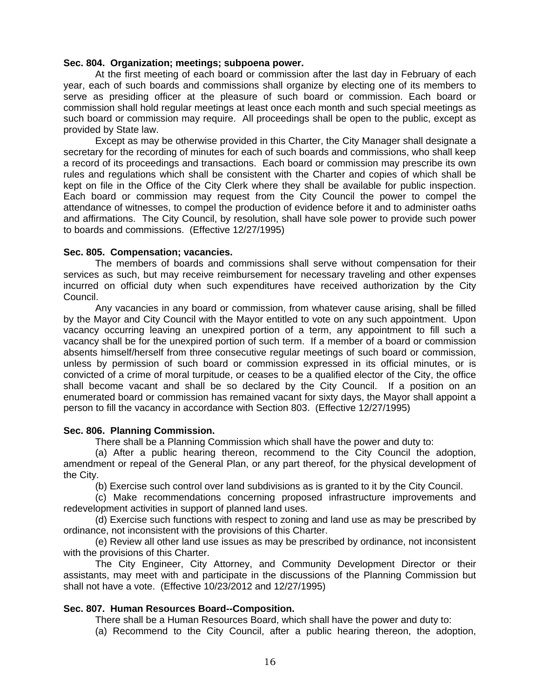#### **Sec. 804. Organization; meetings; subpoena power.**

 At the first meeting of each board or commission after the last day in February of each year, each of such boards and commissions shall organize by electing one of its members to serve as presiding officer at the pleasure of such board or commission. Each board or commission shall hold regular meetings at least once each month and such special meetings as such board or commission may require. All proceedings shall be open to the public, except as provided by State law.

 Except as may be otherwise provided in this Charter, the City Manager shall designate a secretary for the recording of minutes for each of such boards and commissions, who shall keep a record of its proceedings and transactions. Each board or commission may prescribe its own rules and regulations which shall be consistent with the Charter and copies of which shall be kept on file in the Office of the City Clerk where they shall be available for public inspection. Each board or commission may request from the City Council the power to compel the attendance of witnesses, to compel the production of evidence before it and to administer oaths and affirmations. The City Council, by resolution, shall have sole power to provide such power to boards and commissions. (Effective 12/27/1995)

### **Sec. 805. Compensation; vacancies.**

 The members of boards and commissions shall serve without compensation for their services as such, but may receive reimbursement for necessary traveling and other expenses incurred on official duty when such expenditures have received authorization by the City Council.

 Any vacancies in any board or commission, from whatever cause arising, shall be filled by the Mayor and City Council with the Mayor entitled to vote on any such appointment. Upon vacancy occurring leaving an unexpired portion of a term, any appointment to fill such a vacancy shall be for the unexpired portion of such term. If a member of a board or commission absents himself/herself from three consecutive regular meetings of such board or commission, unless by permission of such board or commission expressed in its official minutes, or is convicted of a crime of moral turpitude, or ceases to be a qualified elector of the City, the office shall become vacant and shall be so declared by the City Council. If a position on an enumerated board or commission has remained vacant for sixty days, the Mayor shall appoint a person to fill the vacancy in accordance with Section 803. (Effective 12/27/1995)

### **Sec. 806. Planning Commission.**

There shall be a Planning Commission which shall have the power and duty to:

 (a) After a public hearing thereon, recommend to the City Council the adoption, amendment or repeal of the General Plan, or any part thereof, for the physical development of the City.

(b) Exercise such control over land subdivisions as is granted to it by the City Council.

 (c) Make recommendations concerning proposed infrastructure improvements and redevelopment activities in support of planned land uses.

 (d) Exercise such functions with respect to zoning and land use as may be prescribed by ordinance, not inconsistent with the provisions of this Charter.

 (e) Review all other land use issues as may be prescribed by ordinance, not inconsistent with the provisions of this Charter.

 The City Engineer, City Attorney, and Community Development Director or their assistants, may meet with and participate in the discussions of the Planning Commission but shall not have a vote. (Effective 10/23/2012 and 12/27/1995)

### **Sec. 807. Human Resources Board--Composition.**

There shall be a Human Resources Board, which shall have the power and duty to:

(a) Recommend to the City Council, after a public hearing thereon, the adoption,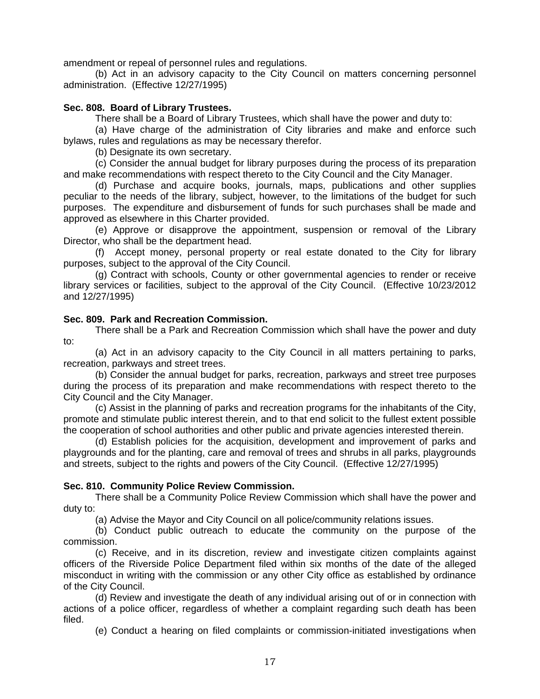amendment or repeal of personnel rules and regulations.

 (b) Act in an advisory capacity to the City Council on matters concerning personnel administration. (Effective 12/27/1995)

### **Sec. 808. Board of Library Trustees.**

There shall be a Board of Library Trustees, which shall have the power and duty to:

 (a) Have charge of the administration of City libraries and make and enforce such bylaws, rules and regulations as may be necessary therefor.

(b) Designate its own secretary.

 (c) Consider the annual budget for library purposes during the process of its preparation and make recommendations with respect thereto to the City Council and the City Manager.

 (d) Purchase and acquire books, journals, maps, publications and other supplies peculiar to the needs of the library, subject, however, to the limitations of the budget for such purposes. The expenditure and disbursement of funds for such purchases shall be made and approved as elsewhere in this Charter provided.

 (e) Approve or disapprove the appointment, suspension or removal of the Library Director, who shall be the department head.

 (f) Accept money, personal property or real estate donated to the City for library purposes, subject to the approval of the City Council.

 (g) Contract with schools, County or other governmental agencies to render or receive library services or facilities, subject to the approval of the City Council. (Effective 10/23/2012 and 12/27/1995)

### **Sec. 809. Park and Recreation Commission.**

 There shall be a Park and Recreation Commission which shall have the power and duty to:

 (a) Act in an advisory capacity to the City Council in all matters pertaining to parks, recreation, parkways and street trees.

 (b) Consider the annual budget for parks, recreation, parkways and street tree purposes during the process of its preparation and make recommendations with respect thereto to the City Council and the City Manager.

 (c) Assist in the planning of parks and recreation programs for the inhabitants of the City, promote and stimulate public interest therein, and to that end solicit to the fullest extent possible the cooperation of school authorities and other public and private agencies interested therein.

 (d) Establish policies for the acquisition, development and improvement of parks and playgrounds and for the planting, care and removal of trees and shrubs in all parks, playgrounds and streets, subject to the rights and powers of the City Council. (Effective 12/27/1995)

### **Sec. 810. Community Police Review Commission.**

 There shall be a Community Police Review Commission which shall have the power and duty to:

(a) Advise the Mayor and City Council on all police/community relations issues.

 (b) Conduct public outreach to educate the community on the purpose of the commission.

 (c) Receive, and in its discretion, review and investigate citizen complaints against officers of the Riverside Police Department filed within six months of the date of the alleged misconduct in writing with the commission or any other City office as established by ordinance of the City Council.

 (d) Review and investigate the death of any individual arising out of or in connection with actions of a police officer, regardless of whether a complaint regarding such death has been filed.

(e) Conduct a hearing on filed complaints or commission-initiated investigations when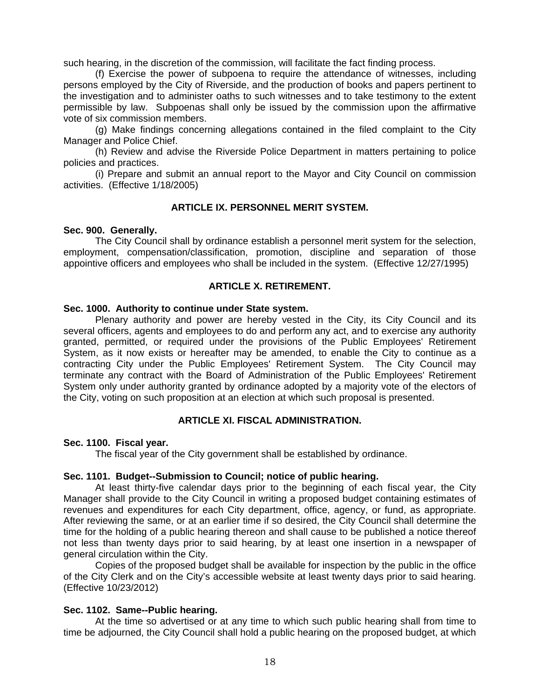such hearing, in the discretion of the commission, will facilitate the fact finding process.

 (f) Exercise the power of subpoena to require the attendance of witnesses, including persons employed by the City of Riverside, and the production of books and papers pertinent to the investigation and to administer oaths to such witnesses and to take testimony to the extent permissible by law. Subpoenas shall only be issued by the commission upon the affirmative vote of six commission members.

 (g) Make findings concerning allegations contained in the filed complaint to the City Manager and Police Chief.

 (h) Review and advise the Riverside Police Department in matters pertaining to police policies and practices.

 (i) Prepare and submit an annual report to the Mayor and City Council on commission activities. (Effective 1/18/2005)

### **ARTICLE IX. PERSONNEL MERIT SYSTEM.**

#### **Sec. 900. Generally.**

 The City Council shall by ordinance establish a personnel merit system for the selection, employment, compensation/classification, promotion, discipline and separation of those appointive officers and employees who shall be included in the system. (Effective 12/27/1995)

### **ARTICLE X. RETIREMENT.**

#### **Sec. 1000. Authority to continue under State system.**

 Plenary authority and power are hereby vested in the City, its City Council and its several officers, agents and employees to do and perform any act, and to exercise any authority granted, permitted, or required under the provisions of the Public Employees' Retirement System, as it now exists or hereafter may be amended, to enable the City to continue as a contracting City under the Public Employees' Retirement System. The City Council may terminate any contract with the Board of Administration of the Public Employees' Retirement System only under authority granted by ordinance adopted by a majority vote of the electors of the City, voting on such proposition at an election at which such proposal is presented.

### **ARTICLE XI. FISCAL ADMINISTRATION.**

### **Sec. 1100. Fiscal year.**

The fiscal year of the City government shall be established by ordinance.

#### **Sec. 1101. Budget--Submission to Council; notice of public hearing.**

 At least thirty-five calendar days prior to the beginning of each fiscal year, the City Manager shall provide to the City Council in writing a proposed budget containing estimates of revenues and expenditures for each City department, office, agency, or fund, as appropriate. After reviewing the same, or at an earlier time if so desired, the City Council shall determine the time for the holding of a public hearing thereon and shall cause to be published a notice thereof not less than twenty days prior to said hearing, by at least one insertion in a newspaper of general circulation within the City.

 Copies of the proposed budget shall be available for inspection by the public in the office of the City Clerk and on the City's accessible website at least twenty days prior to said hearing. (Effective 10/23/2012)

#### **Sec. 1102. Same--Public hearing.**

 At the time so advertised or at any time to which such public hearing shall from time to time be adjourned, the City Council shall hold a public hearing on the proposed budget, at which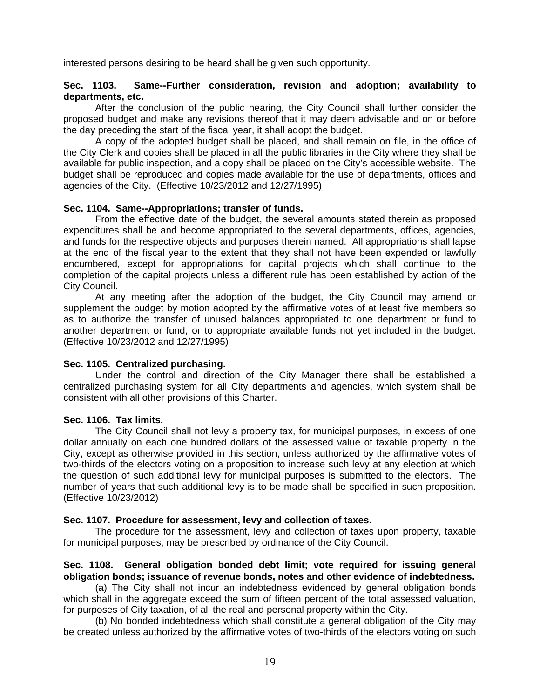interested persons desiring to be heard shall be given such opportunity.

# **Sec. 1103. Same--Further consideration, revision and adoption; availability to departments, etc.**

 After the conclusion of the public hearing, the City Council shall further consider the proposed budget and make any revisions thereof that it may deem advisable and on or before the day preceding the start of the fiscal year, it shall adopt the budget.

 A copy of the adopted budget shall be placed, and shall remain on file, in the office of the City Clerk and copies shall be placed in all the public libraries in the City where they shall be available for public inspection, and a copy shall be placed on the City's accessible website. The budget shall be reproduced and copies made available for the use of departments, offices and agencies of the City. (Effective 10/23/2012 and 12/27/1995)

# **Sec. 1104. Same--Appropriations; transfer of funds.**

 From the effective date of the budget, the several amounts stated therein as proposed expenditures shall be and become appropriated to the several departments, offices, agencies, and funds for the respective objects and purposes therein named. All appropriations shall lapse at the end of the fiscal year to the extent that they shall not have been expended or lawfully encumbered, except for appropriations for capital projects which shall continue to the completion of the capital projects unless a different rule has been established by action of the City Council.

 At any meeting after the adoption of the budget, the City Council may amend or supplement the budget by motion adopted by the affirmative votes of at least five members so as to authorize the transfer of unused balances appropriated to one department or fund to another department or fund, or to appropriate available funds not yet included in the budget. (Effective 10/23/2012 and 12/27/1995)

### **Sec. 1105. Centralized purchasing.**

 Under the control and direction of the City Manager there shall be established a centralized purchasing system for all City departments and agencies, which system shall be consistent with all other provisions of this Charter.

### **Sec. 1106. Tax limits.**

 The City Council shall not levy a property tax, for municipal purposes, in excess of one dollar annually on each one hundred dollars of the assessed value of taxable property in the City, except as otherwise provided in this section, unless authorized by the affirmative votes of two-thirds of the electors voting on a proposition to increase such levy at any election at which the question of such additional levy for municipal purposes is submitted to the electors. The number of years that such additional levy is to be made shall be specified in such proposition. (Effective 10/23/2012)

### **Sec. 1107. Procedure for assessment, levy and collection of taxes.**

 The procedure for the assessment, levy and collection of taxes upon property, taxable for municipal purposes, may be prescribed by ordinance of the City Council.

# **Sec. 1108. General obligation bonded debt limit; vote required for issuing general obligation bonds; issuance of revenue bonds, notes and other evidence of indebtedness.**

 (a) The City shall not incur an indebtedness evidenced by general obligation bonds which shall in the aggregate exceed the sum of fifteen percent of the total assessed valuation, for purposes of City taxation, of all the real and personal property within the City.

 (b) No bonded indebtedness which shall constitute a general obligation of the City may be created unless authorized by the affirmative votes of two-thirds of the electors voting on such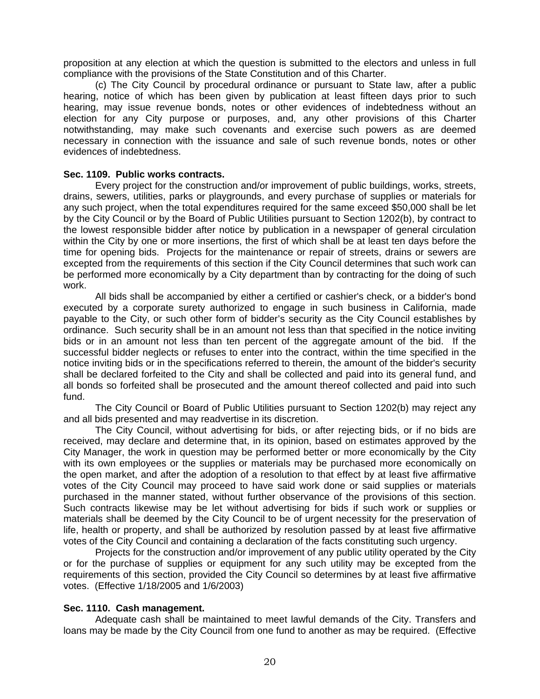proposition at any election at which the question is submitted to the electors and unless in full compliance with the provisions of the State Constitution and of this Charter.

 (c) The City Council by procedural ordinance or pursuant to State law, after a public hearing, notice of which has been given by publication at least fifteen days prior to such hearing, may issue revenue bonds, notes or other evidences of indebtedness without an election for any City purpose or purposes, and, any other provisions of this Charter notwithstanding, may make such covenants and exercise such powers as are deemed necessary in connection with the issuance and sale of such revenue bonds, notes or other evidences of indebtedness.

### **Sec. 1109. Public works contracts.**

 Every project for the construction and/or improvement of public buildings, works, streets, drains, sewers, utilities, parks or playgrounds, and every purchase of supplies or materials for any such project, when the total expenditures required for the same exceed \$50,000 shall be let by the City Council or by the Board of Public Utilities pursuant to Section 1202(b), by contract to the lowest responsible bidder after notice by publication in a newspaper of general circulation within the City by one or more insertions, the first of which shall be at least ten days before the time for opening bids. Projects for the maintenance or repair of streets, drains or sewers are excepted from the requirements of this section if the City Council determines that such work can be performed more economically by a City department than by contracting for the doing of such work.

 All bids shall be accompanied by either a certified or cashier's check, or a bidder's bond executed by a corporate surety authorized to engage in such business in California, made payable to the City, or such other form of bidder's security as the City Council establishes by ordinance. Such security shall be in an amount not less than that specified in the notice inviting bids or in an amount not less than ten percent of the aggregate amount of the bid. If the successful bidder neglects or refuses to enter into the contract, within the time specified in the notice inviting bids or in the specifications referred to therein, the amount of the bidder's security shall be declared forfeited to the City and shall be collected and paid into its general fund, and all bonds so forfeited shall be prosecuted and the amount thereof collected and paid into such fund.

 The City Council or Board of Public Utilities pursuant to Section 1202(b) may reject any and all bids presented and may readvertise in its discretion.

 The City Council, without advertising for bids, or after rejecting bids, or if no bids are received, may declare and determine that, in its opinion, based on estimates approved by the City Manager, the work in question may be performed better or more economically by the City with its own employees or the supplies or materials may be purchased more economically on the open market, and after the adoption of a resolution to that effect by at least five affirmative votes of the City Council may proceed to have said work done or said supplies or materials purchased in the manner stated, without further observance of the provisions of this section. Such contracts likewise may be let without advertising for bids if such work or supplies or materials shall be deemed by the City Council to be of urgent necessity for the preservation of life, health or property, and shall be authorized by resolution passed by at least five affirmative votes of the City Council and containing a declaration of the facts constituting such urgency.

 Projects for the construction and/or improvement of any public utility operated by the City or for the purchase of supplies or equipment for any such utility may be excepted from the requirements of this section, provided the City Council so determines by at least five affirmative votes. (Effective 1/18/2005 and 1/6/2003)

### **Sec. 1110. Cash management.**

 Adequate cash shall be maintained to meet lawful demands of the City. Transfers and loans may be made by the City Council from one fund to another as may be required. (Effective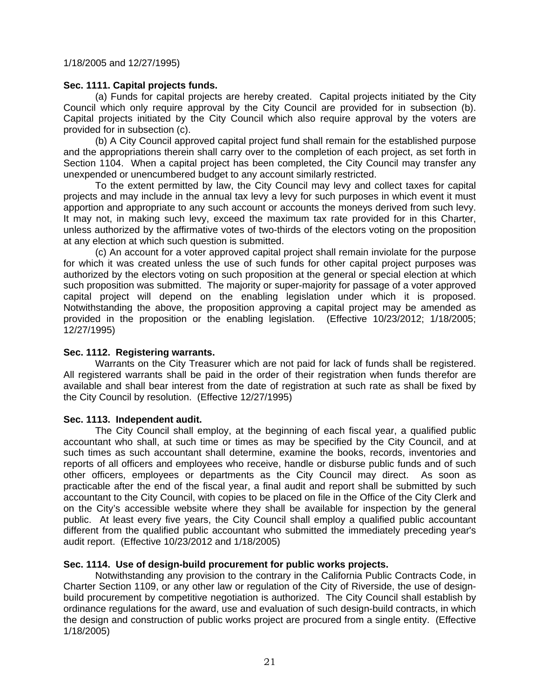1/18/2005 and 12/27/1995)

# **Sec. 1111. Capital projects funds.**

 (a) Funds for capital projects are hereby created. Capital projects initiated by the City Council which only require approval by the City Council are provided for in subsection (b). Capital projects initiated by the City Council which also require approval by the voters are provided for in subsection (c).

 (b) A City Council approved capital project fund shall remain for the established purpose and the appropriations therein shall carry over to the completion of each project, as set forth in Section 1104. When a capital project has been completed, the City Council may transfer any unexpended or unencumbered budget to any account similarly restricted.

 To the extent permitted by law, the City Council may levy and collect taxes for capital projects and may include in the annual tax levy a levy for such purposes in which event it must apportion and appropriate to any such account or accounts the moneys derived from such levy. It may not, in making such levy, exceed the maximum tax rate provided for in this Charter, unless authorized by the affirmative votes of two-thirds of the electors voting on the proposition at any election at which such question is submitted.

 (c) An account for a voter approved capital project shall remain inviolate for the purpose for which it was created unless the use of such funds for other capital project purposes was authorized by the electors voting on such proposition at the general or special election at which such proposition was submitted. The majority or super-majority for passage of a voter approved capital project will depend on the enabling legislation under which it is proposed. Notwithstanding the above, the proposition approving a capital project may be amended as provided in the proposition or the enabling legislation. (Effective 10/23/2012; 1/18/2005; 12/27/1995)

### **Sec. 1112. Registering warrants.**

Warrants on the City Treasurer which are not paid for lack of funds shall be registered. All registered warrants shall be paid in the order of their registration when funds therefor are available and shall bear interest from the date of registration at such rate as shall be fixed by the City Council by resolution. (Effective 12/27/1995)

# **Sec. 1113. Independent audit.**

 The City Council shall employ, at the beginning of each fiscal year, a qualified public accountant who shall, at such time or times as may be specified by the City Council, and at such times as such accountant shall determine, examine the books, records, inventories and reports of all officers and employees who receive, handle or disburse public funds and of such other officers, employees or departments as the City Council may direct. As soon as practicable after the end of the fiscal year, a final audit and report shall be submitted by such accountant to the City Council, with copies to be placed on file in the Office of the City Clerk and on the City's accessible website where they shall be available for inspection by the general public. At least every five years, the City Council shall employ a qualified public accountant different from the qualified public accountant who submitted the immediately preceding year's audit report. (Effective 10/23/2012 and 1/18/2005)

# **Sec. 1114. Use of design-build procurement for public works projects.**

Notwithstanding any provision to the contrary in the California Public Contracts Code, in Charter Section 1109, or any other law or regulation of the City of Riverside, the use of designbuild procurement by competitive negotiation is authorized. The City Council shall establish by ordinance regulations for the award, use and evaluation of such design-build contracts, in which the design and construction of public works project are procured from a single entity. (Effective 1/18/2005)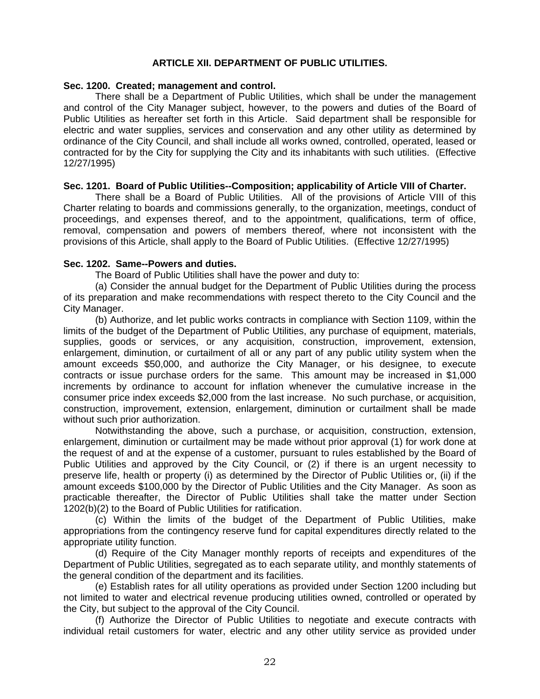### **ARTICLE XII. DEPARTMENT OF PUBLIC UTILITIES.**

### **Sec. 1200. Created; management and control.**

 There shall be a Department of Public Utilities, which shall be under the management and control of the City Manager subject, however, to the powers and duties of the Board of Public Utilities as hereafter set forth in this Article. Said department shall be responsible for electric and water supplies, services and conservation and any other utility as determined by ordinance of the City Council, and shall include all works owned, controlled, operated, leased or contracted for by the City for supplying the City and its inhabitants with such utilities. (Effective 12/27/1995)

# **Sec. 1201. Board of Public Utilities--Composition; applicability of Article VIII of Charter.**

 There shall be a Board of Public Utilities. All of the provisions of Article VIII of this Charter relating to boards and commissions generally, to the organization, meetings, conduct of proceedings, and expenses thereof, and to the appointment, qualifications, term of office, removal, compensation and powers of members thereof, where not inconsistent with the provisions of this Article, shall apply to the Board of Public Utilities. (Effective 12/27/1995)

# **Sec. 1202. Same--Powers and duties.**

The Board of Public Utilities shall have the power and duty to:

 (a) Consider the annual budget for the Department of Public Utilities during the process of its preparation and make recommendations with respect thereto to the City Council and the City Manager.

 (b) Authorize, and let public works contracts in compliance with Section 1109, within the limits of the budget of the Department of Public Utilities, any purchase of equipment, materials, supplies, goods or services, or any acquisition, construction, improvement, extension, enlargement, diminution, or curtailment of all or any part of any public utility system when the amount exceeds \$50,000, and authorize the City Manager, or his designee, to execute contracts or issue purchase orders for the same. This amount may be increased in \$1,000 increments by ordinance to account for inflation whenever the cumulative increase in the consumer price index exceeds \$2,000 from the last increase. No such purchase, or acquisition, construction, improvement, extension, enlargement, diminution or curtailment shall be made without such prior authorization.

 Notwithstanding the above, such a purchase, or acquisition, construction, extension, enlargement, diminution or curtailment may be made without prior approval (1) for work done at the request of and at the expense of a customer, pursuant to rules established by the Board of Public Utilities and approved by the City Council, or (2) if there is an urgent necessity to preserve life, health or property (i) as determined by the Director of Public Utilities or, (ii) if the amount exceeds \$100,000 by the Director of Public Utilities and the City Manager. As soon as practicable thereafter, the Director of Public Utilities shall take the matter under Section 1202(b)(2) to the Board of Public Utilities for ratification.

 (c) Within the limits of the budget of the Department of Public Utilities, make appropriations from the contingency reserve fund for capital expenditures directly related to the appropriate utility function.

 (d) Require of the City Manager monthly reports of receipts and expenditures of the Department of Public Utilities, segregated as to each separate utility, and monthly statements of the general condition of the department and its facilities.

 (e) Establish rates for all utility operations as provided under Section 1200 including but not limited to water and electrical revenue producing utilities owned, controlled or operated by the City, but subject to the approval of the City Council.

 (f) Authorize the Director of Public Utilities to negotiate and execute contracts with individual retail customers for water, electric and any other utility service as provided under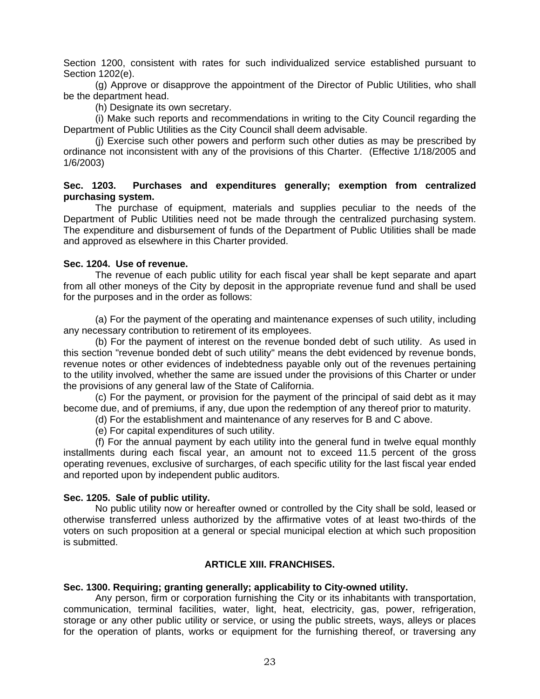Section 1200, consistent with rates for such individualized service established pursuant to Section 1202(e).

 (g) Approve or disapprove the appointment of the Director of Public Utilities, who shall be the department head.

(h) Designate its own secretary.

 (i) Make such reports and recommendations in writing to the City Council regarding the Department of Public Utilities as the City Council shall deem advisable.

 (j) Exercise such other powers and perform such other duties as may be prescribed by ordinance not inconsistent with any of the provisions of this Charter. (Effective 1/18/2005 and 1/6/2003)

# **Sec. 1203. Purchases and expenditures generally; exemption from centralized purchasing system.**

 The purchase of equipment, materials and supplies peculiar to the needs of the Department of Public Utilities need not be made through the centralized purchasing system. The expenditure and disbursement of funds of the Department of Public Utilities shall be made and approved as elsewhere in this Charter provided.

### **Sec. 1204. Use of revenue.**

 The revenue of each public utility for each fiscal year shall be kept separate and apart from all other moneys of the City by deposit in the appropriate revenue fund and shall be used for the purposes and in the order as follows:

 (a) For the payment of the operating and maintenance expenses of such utility, including any necessary contribution to retirement of its employees.

 (b) For the payment of interest on the revenue bonded debt of such utility. As used in this section "revenue bonded debt of such utility" means the debt evidenced by revenue bonds, revenue notes or other evidences of indebtedness payable only out of the revenues pertaining to the utility involved, whether the same are issued under the provisions of this Charter or under the provisions of any general law of the State of California.

 (c) For the payment, or provision for the payment of the principal of said debt as it may become due, and of premiums, if any, due upon the redemption of any thereof prior to maturity.

(d) For the establishment and maintenance of any reserves for B and C above.

(e) For capital expenditures of such utility.

 (f) For the annual payment by each utility into the general fund in twelve equal monthly installments during each fiscal year, an amount not to exceed 11.5 percent of the gross operating revenues, exclusive of surcharges, of each specific utility for the last fiscal year ended and reported upon by independent public auditors.

### **Sec. 1205. Sale of public utility.**

 No public utility now or hereafter owned or controlled by the City shall be sold, leased or otherwise transferred unless authorized by the affirmative votes of at least two-thirds of the voters on such proposition at a general or special municipal election at which such proposition is submitted.

### **ARTICLE XIII. FRANCHISES.**

### **Sec. 1300. Requiring; granting generally; applicability to City-owned utility.**

 Any person, firm or corporation furnishing the City or its inhabitants with transportation, communication, terminal facilities, water, light, heat, electricity, gas, power, refrigeration, storage or any other public utility or service, or using the public streets, ways, alleys or places for the operation of plants, works or equipment for the furnishing thereof, or traversing any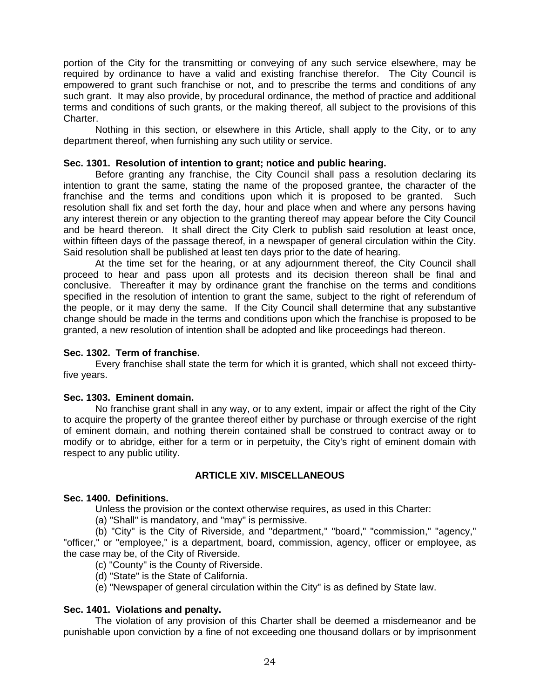portion of the City for the transmitting or conveying of any such service elsewhere, may be required by ordinance to have a valid and existing franchise therefor. The City Council is empowered to grant such franchise or not, and to prescribe the terms and conditions of any such grant. It may also provide, by procedural ordinance, the method of practice and additional terms and conditions of such grants, or the making thereof, all subject to the provisions of this Charter.

 Nothing in this section, or elsewhere in this Article, shall apply to the City, or to any department thereof, when furnishing any such utility or service.

# **Sec. 1301. Resolution of intention to grant; notice and public hearing.**

 Before granting any franchise, the City Council shall pass a resolution declaring its intention to grant the same, stating the name of the proposed grantee, the character of the franchise and the terms and conditions upon which it is proposed to be granted. Such resolution shall fix and set forth the day, hour and place when and where any persons having any interest therein or any objection to the granting thereof may appear before the City Council and be heard thereon. It shall direct the City Clerk to publish said resolution at least once, within fifteen days of the passage thereof, in a newspaper of general circulation within the City. Said resolution shall be published at least ten days prior to the date of hearing.

 At the time set for the hearing, or at any adjournment thereof, the City Council shall proceed to hear and pass upon all protests and its decision thereon shall be final and conclusive. Thereafter it may by ordinance grant the franchise on the terms and conditions specified in the resolution of intention to grant the same, subject to the right of referendum of the people, or it may deny the same. If the City Council shall determine that any substantive change should be made in the terms and conditions upon which the franchise is proposed to be granted, a new resolution of intention shall be adopted and like proceedings had thereon.

### **Sec. 1302. Term of franchise.**

 Every franchise shall state the term for which it is granted, which shall not exceed thirtyfive years.

### **Sec. 1303. Eminent domain.**

 No franchise grant shall in any way, or to any extent, impair or affect the right of the City to acquire the property of the grantee thereof either by purchase or through exercise of the right of eminent domain, and nothing therein contained shall be construed to contract away or to modify or to abridge, either for a term or in perpetuity, the City's right of eminent domain with respect to any public utility.

# **ARTICLE XIV. MISCELLANEOUS**

### **Sec. 1400. Definitions.**

Unless the provision or the context otherwise requires, as used in this Charter:

(a) "Shall" is mandatory, and "may" is permissive.

 (b) "City" is the City of Riverside, and "department," "board," "commission," "agency," "officer," or "employee," is a department, board, commission, agency, officer or employee, as the case may be, of the City of Riverside.

- (c) "County" is the County of Riverside.
- (d) "State" is the State of California.

(e) "Newspaper of general circulation within the City" is as defined by State law.

# **Sec. 1401. Violations and penalty.**

 The violation of any provision of this Charter shall be deemed a misdemeanor and be punishable upon conviction by a fine of not exceeding one thousand dollars or by imprisonment